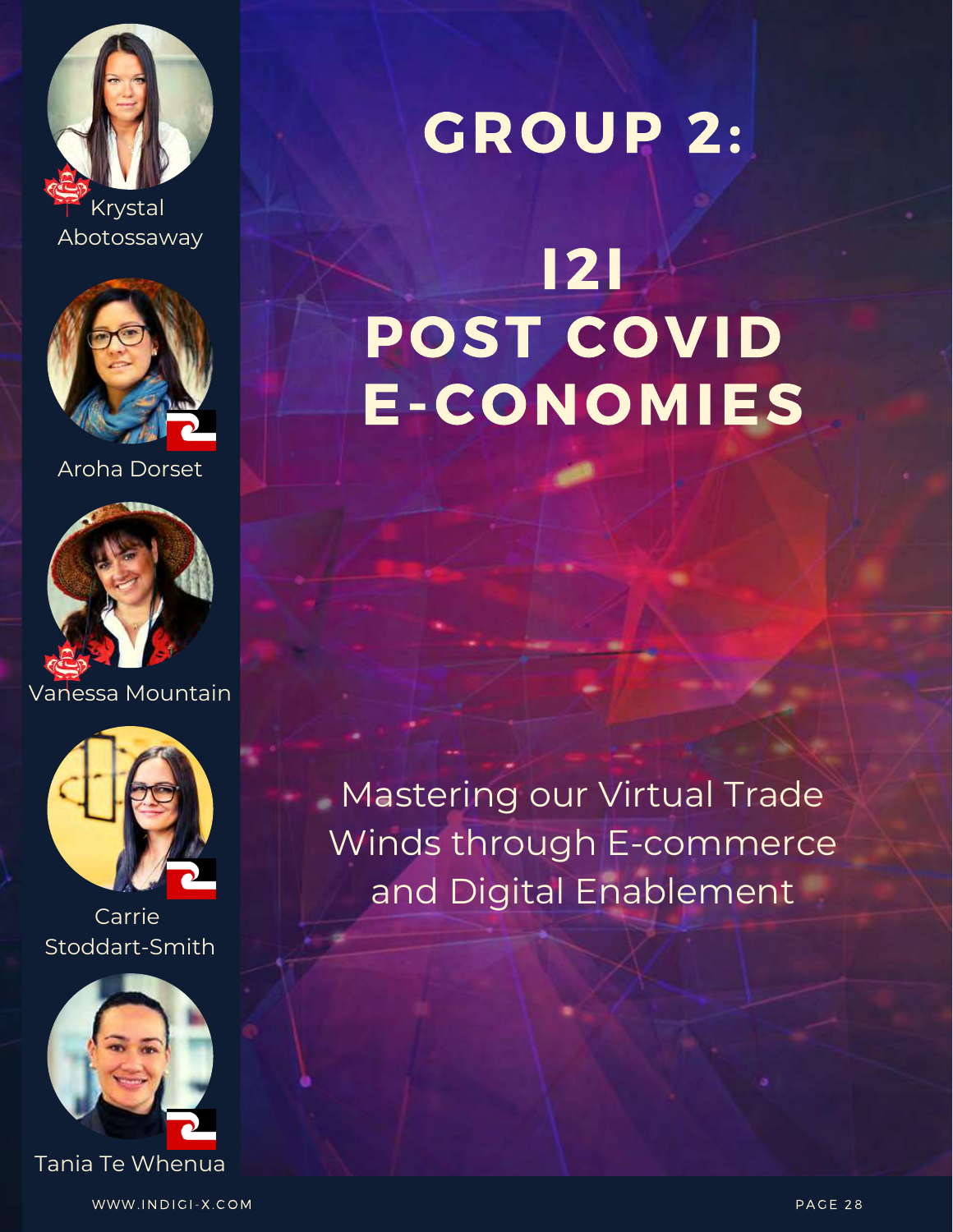



Aroha Dorset



Vanessa Mountain



Carrie Stoddart-Smith



Tania Te Whenua

WWW.INDIGI-X.COM PAGE 28

### GROUP 2:

### **121** POST COVID **E-CONOMIES**

**Mastering our Virtual Trade** Winds through E-commerce and Digital Enablement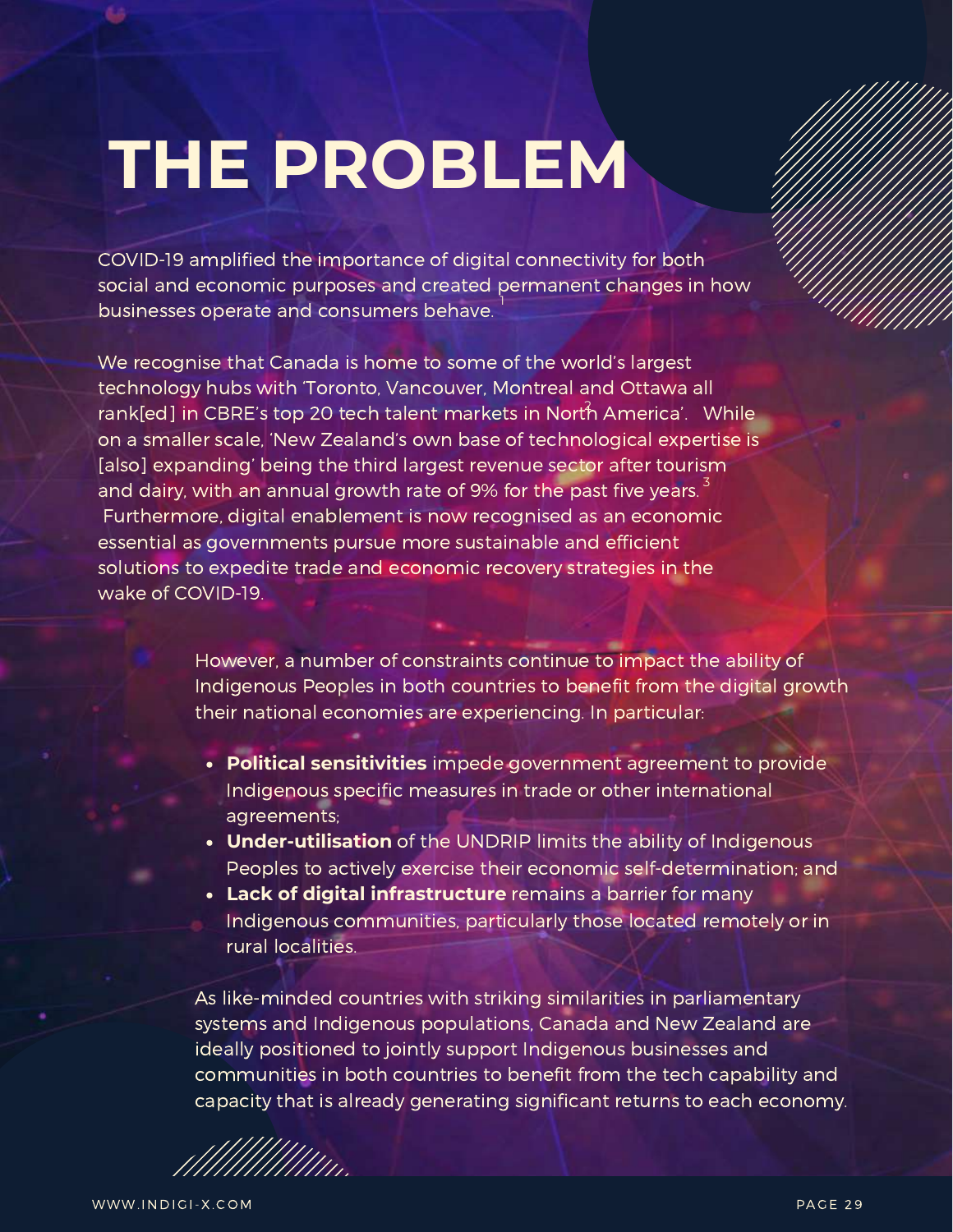### **THE PROBLEM**

COVID-19 amplified the importance of digital connectivity for both social and economic purposes and created permanent changes in how businesses operate and consumers behave. 1

We recognise that Canada is home to some of the world's largest technology hubs with 'Toronto, Vancouver, Montreal and Ottawa all rank[ed] in CBRE's top 20 tech talent markets in North America'. While on a smaller scale, 'New Zealand's own base of technological expertise is [also] expanding' being the third largest revenue sector after tourism and dairy, with an annual growth rate of 9% for the past five years.  $^{\text{3}}$ Furthermore, digital enablement is now recognised as an economic essential as governments pursue more sustainable and efficient solutions to expedite trade and economic recovery strategies in the wake of COVID-19.

> However, a number of constraints continue to impact the ability of Indigenous Peoples in both countries to benefit from the digital growth their national economies are experiencing. In particular:

- **Political sensitivities** impede government agreement to provide Indigenous specific measures in trade or other international agreements;
- **Under-utilisation** of the UNDRIP limits the ability of Indigenous Peoples to actively exercise their economic self-determination; and
- **Lack of digital infrastructure** remains a barrier for many Indigenous communities, particularly those located remotely or in rural localities.

As like-minded countries with striking similarities in parliamentary systems and Indigenous populations, Canada and New Zealand are ideally positioned to jointly support Indigenous businesses and communities in both countries to benefit from the tech capability and capacity that is already generating significant returns to each economy.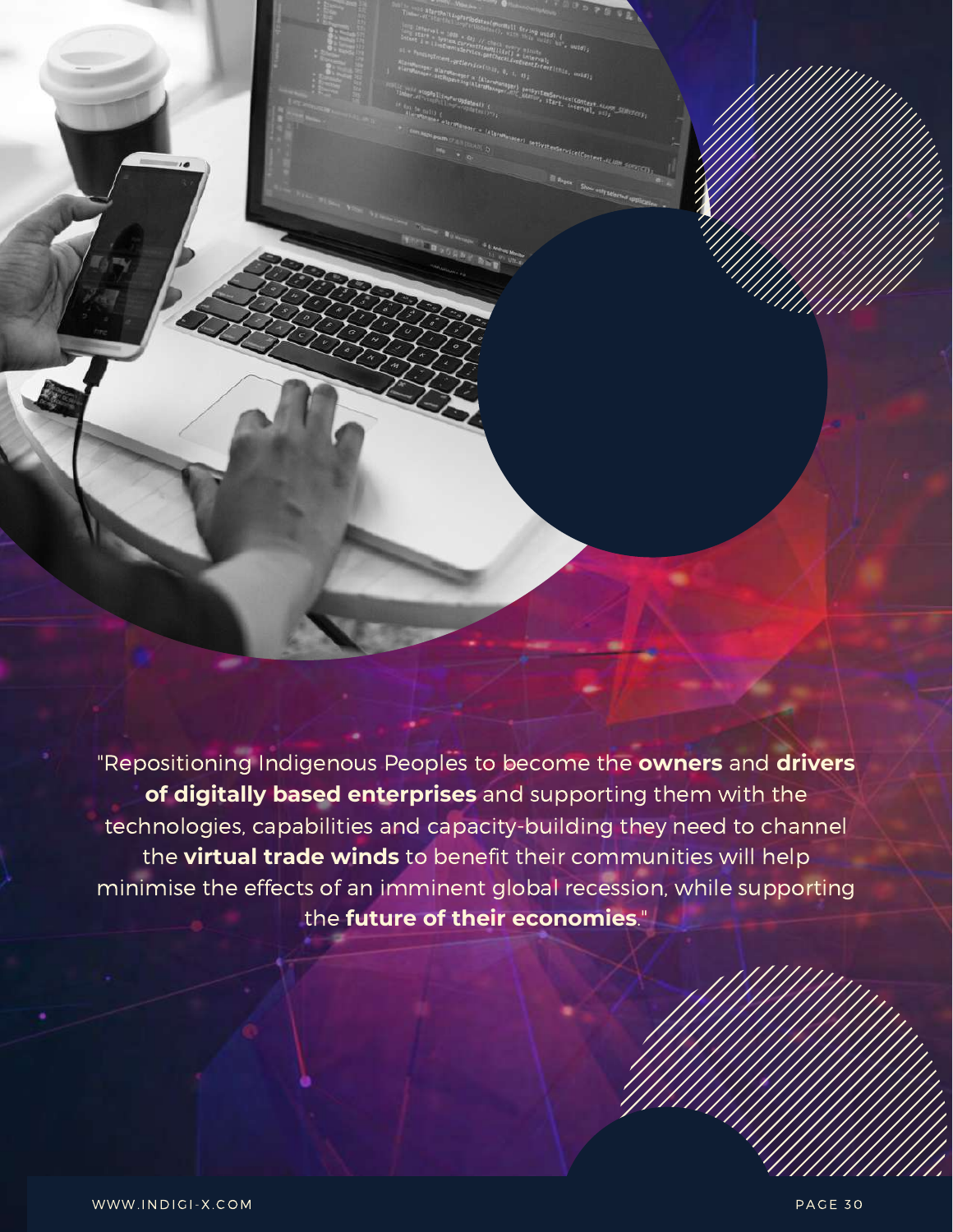"Repositioning Indigenous Peoples to become the **owners** and **drivers of digitally based enterprises** and supporting them with the technologies, capabilities and capacity-building they need to channel the **virtual trade winds** to benefit their communities will help minimise the effects of an imminent global recession, while supporting the **future of their economies**."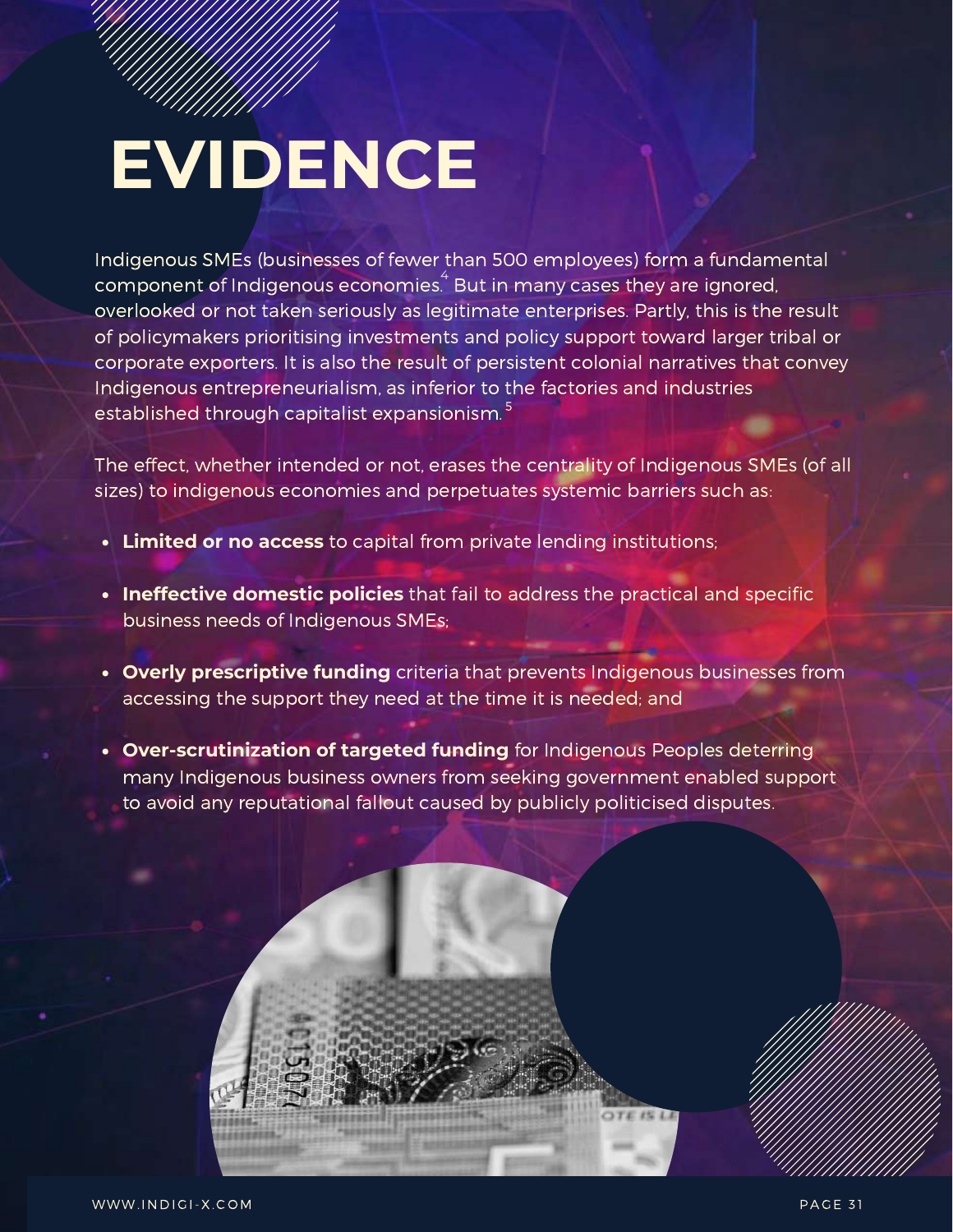## **EVIDENCE**

Indigenous SMEs (businesses of fewer than 500 employees) form a fundamental component of Indigenous economies. $\stackrel{\text{{\small 4}}}{\,}$  But in many cases they are ignored, overlooked or not taken seriously as legitimate enterprises. Partly, this is the result of policymakers prioritising investments and policy support toward larger tribal or corporate exporters. It is also the result of persistent colonial narratives that convey Indigenous entrepreneurialism, as inferior to the factories and industries established through capitalist expansionism. <sup>5</sup>

The effect, whether intended or not, erases the centrality of Indigenous SMEs (of all sizes) to indigenous economies and perpetuates systemic barriers such as:

- **Limited or no access** to capital from private lending institutions;
- **Ineffective domestic policies** that fail to address the practical and specific business needs of Indigenous SMEs;
- **Overly prescriptive funding** criteria that prevents Indigenous businesses from accessing the support they need at the time it is needed; and
- **Over-scrutinization of targeted funding** for Indigenous Peoples deterring many Indigenous business owners from seeking government enabled support to avoid any reputational fallout caused by publicly politicised disputes.

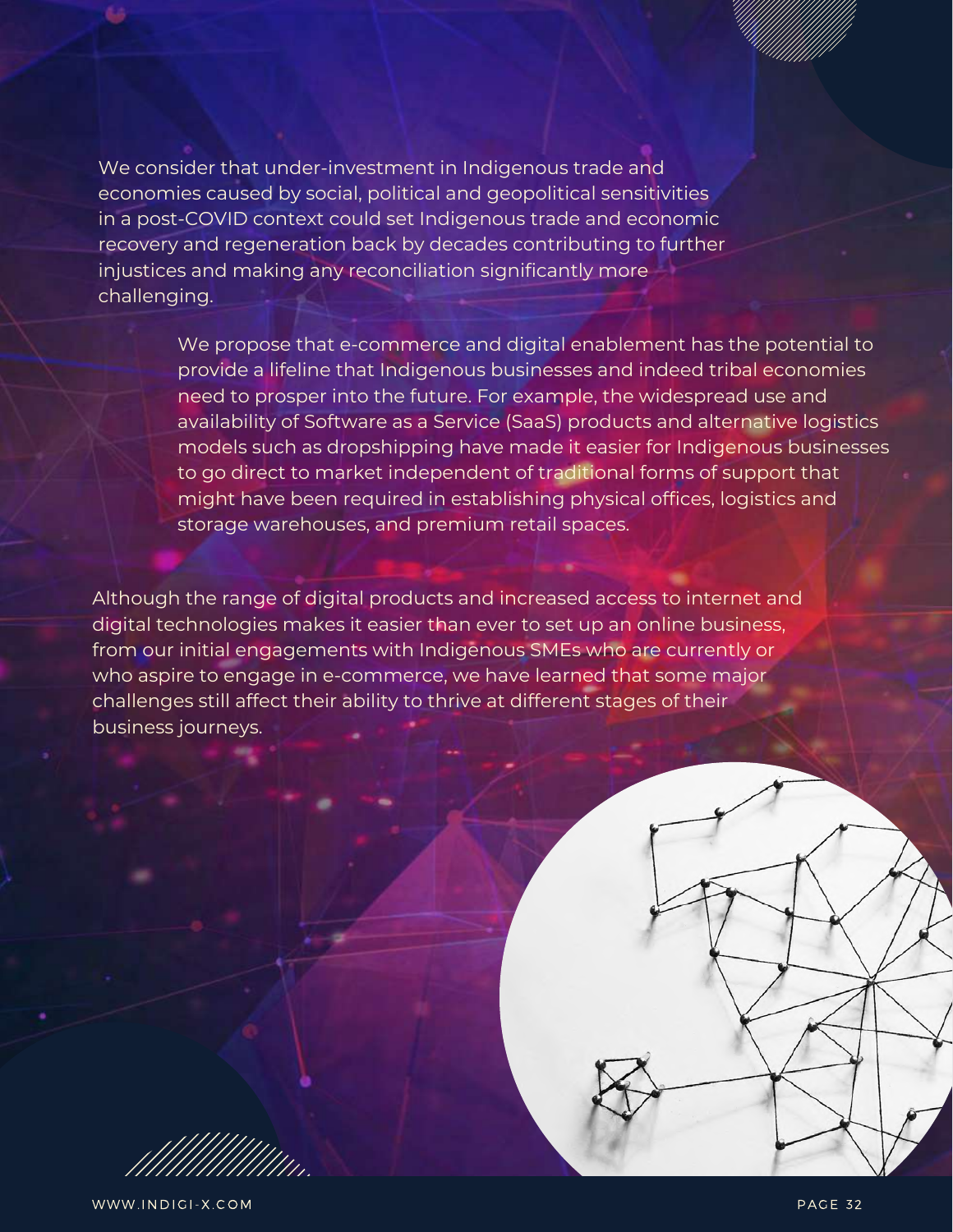We consider that under-investment in Indigenous trade and economies caused by social, political and geopolitical sensitivities in a post-COVID context could set Indigenous trade and economic recovery and regeneration back by decades contributing to further injustices and making any reconciliation significantly more challenging.

> We propose that e-commerce and digital enablement has the potential to provide a lifeline that Indigenous businesses and indeed tribal economies need to prosper into the future. For example, the widespread use and availability of Software as a Service (SaaS) products and alternative logistics models such as dropshipping have made it easier for Indigenous businesses to go direct to market independent of traditional forms of support that might have been required in establishing physical offices, logistics and storage warehouses, and premium retail spaces.

Although the range of digital products and increased access to internet and digital technologies makes it easier than ever to set up an online business, from our initial engagements with Indigenous SMEs who are currently or who aspire to engage in e-commerce, we have learned that some major challenges still affect their ability to thrive at different stages of their business journeys.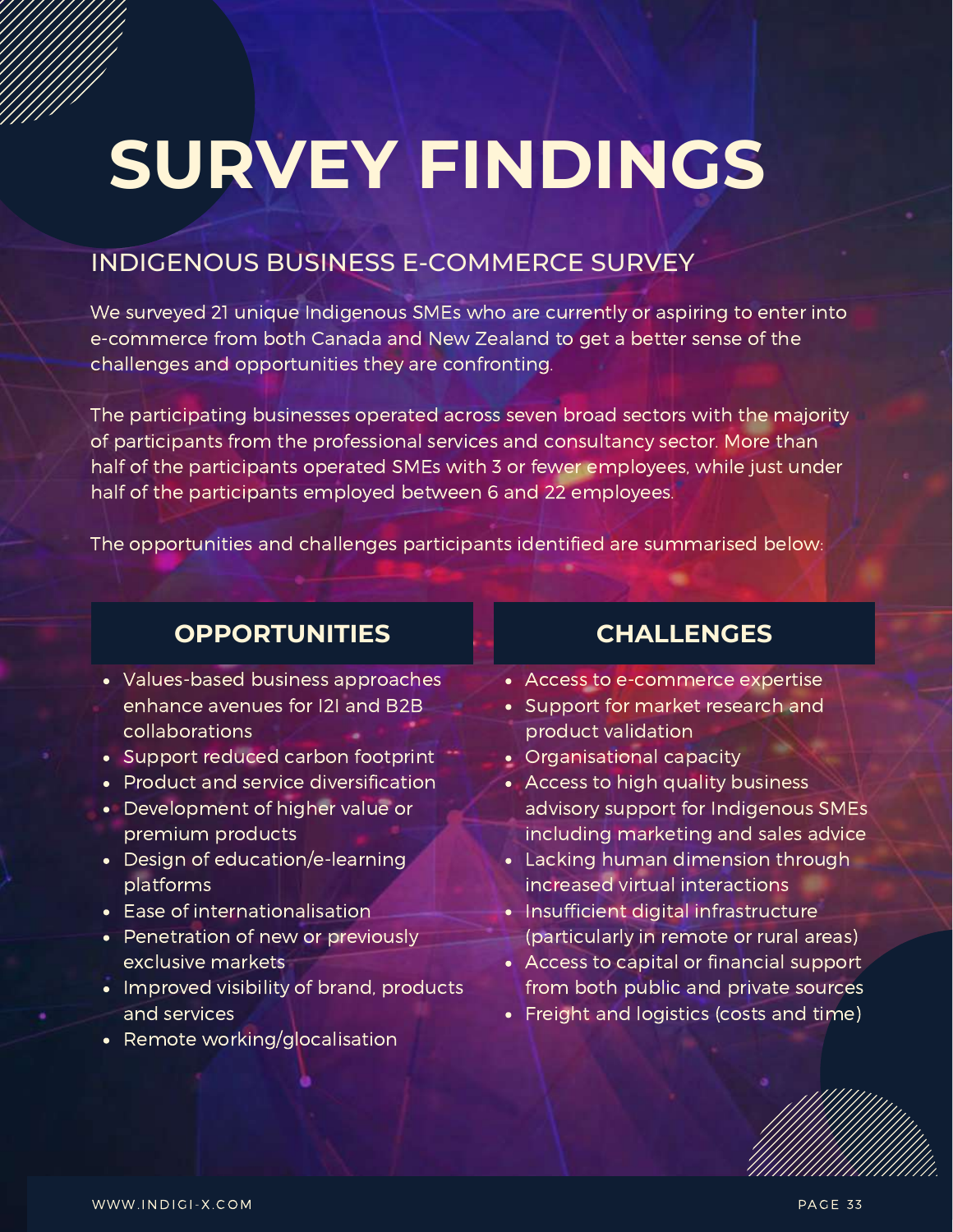# **SURVEY FINDINGS**

#### INDIGENOUS BUSINESS E-COMMERCE SURVEY

We surveyed 21 unique Indigenous SMEs who are currently or aspiring to enter into e-commerce from both Canada and New Zealand to get a better sense of the challenges and opportunities they are confronting.

The participating businesses operated across seven broad sectors with the majority of participants from the professional services and consultancy sector. More than half of the participants operated SMEs with 3 or fewer employees, while just under half of the participants employed between 6 and 22 employees.

The opportunities and challenges participants identified are summarised below:

| <b>OPPORTUNITIES</b>                                                                                                                                                                                                                                                                                                                                                                                                                                                                                                                                    | <b>CHALLENGES</b>                                                                                                                                                                                                                                                                                                                                                                                                                                                                                                                                   |  |
|---------------------------------------------------------------------------------------------------------------------------------------------------------------------------------------------------------------------------------------------------------------------------------------------------------------------------------------------------------------------------------------------------------------------------------------------------------------------------------------------------------------------------------------------------------|-----------------------------------------------------------------------------------------------------------------------------------------------------------------------------------------------------------------------------------------------------------------------------------------------------------------------------------------------------------------------------------------------------------------------------------------------------------------------------------------------------------------------------------------------------|--|
| • Values-based business approaches<br>enhance avenues for I2I and B2B<br>collaborations<br>• Support reduced carbon footprint<br>Product and service diversification<br>$\bullet$<br>Development of higher value or<br>$\bullet$<br>premium products<br>Design of education/e-learning<br>$\bullet$<br>platforms<br>Ease of internationalisation<br>$\bullet$<br>Penetration of new or previously<br>$\bullet$<br>exclusive markets<br>Improved visibility of brand, products<br>$\bullet$<br>and services<br>Remote working/glocalisation<br>$\bullet$ | • Access to e-commerce expertise<br>• Support for market research and<br>product validation<br>Organisational capacity<br>$\bullet$<br>• Access to high quality business<br>advisory support for Indigenous SMEs<br>including marketing and sales advice<br>• Lacking human dimension through<br>increased virtual interactions<br>• Insufficient digital infrastructure<br>(particularly in remote or rural areas)<br>• Access to capital or financial support<br>from both public and private sources<br>• Freight and logistics (costs and time) |  |
|                                                                                                                                                                                                                                                                                                                                                                                                                                                                                                                                                         |                                                                                                                                                                                                                                                                                                                                                                                                                                                                                                                                                     |  |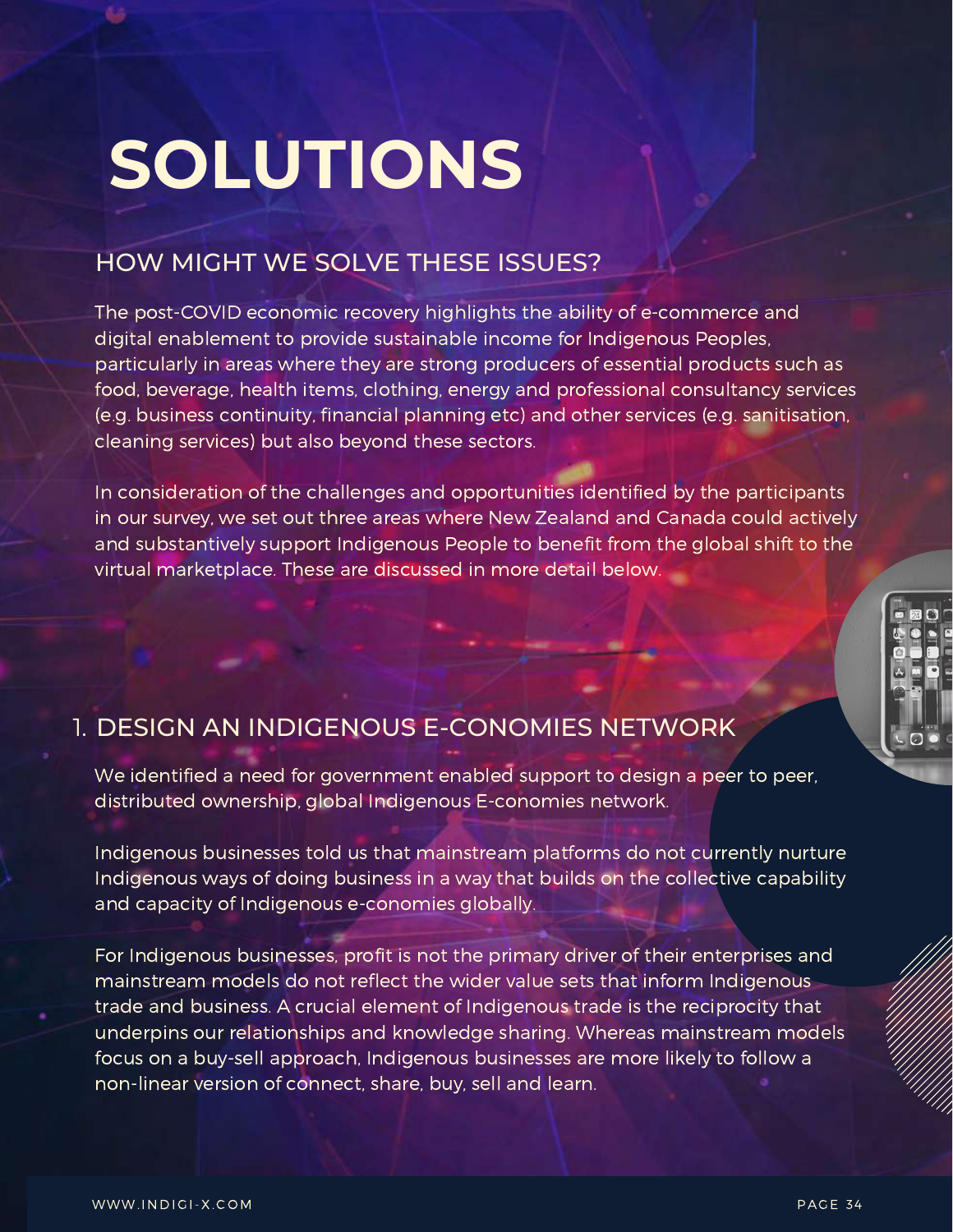## **SOLUTIONS**

#### HOW MIGHT WE SOLVE THESE ISSUES?

The post-COVID economic recovery highlights the ability of e-commerce and digital enablement to provide sustainable income for Indigenous Peoples, particularly in areas where they are strong producers of essential products such as food, beverage, health items, clothing, energy and professional consultancy services (e.g. business continuity, financial planning etc) and other services (e.g. sanitisation, cleaning services) but also beyond these sectors.

In consideration of the challenges and opportunities identified by the participants in our survey, we set out three areas where New Zealand and Canada could actively and substantively support Indigenous People to benefit from the global shift to the virtual marketplace. These are discussed in more detail below.



### 1. DESIGN AN INDIGENOUS E-CONOMIES NETWORK

We identified a need for government enabled support to design a peer to peer, distributed ownership, global Indigenous E-conomies network.

Indigenous businesses told us that mainstream platforms do not currently nurture Indigenous ways of doing business in a way that builds on the collective capability and capacity of Indigenous e-conomies globally.

For Indigenous businesses, profit is not the primary driver of their enterprises and mainstream models do not reflect the wider value sets that inform Indigenous trade and business. A crucial element of Indigenous trade is the reciprocity that underpins our relationships and knowledge sharing. Whereas mainstream models focus on a buy-sell approach, Indigenous businesses are more likely to follow a non-linear version of connect, share, buy, sell and learn.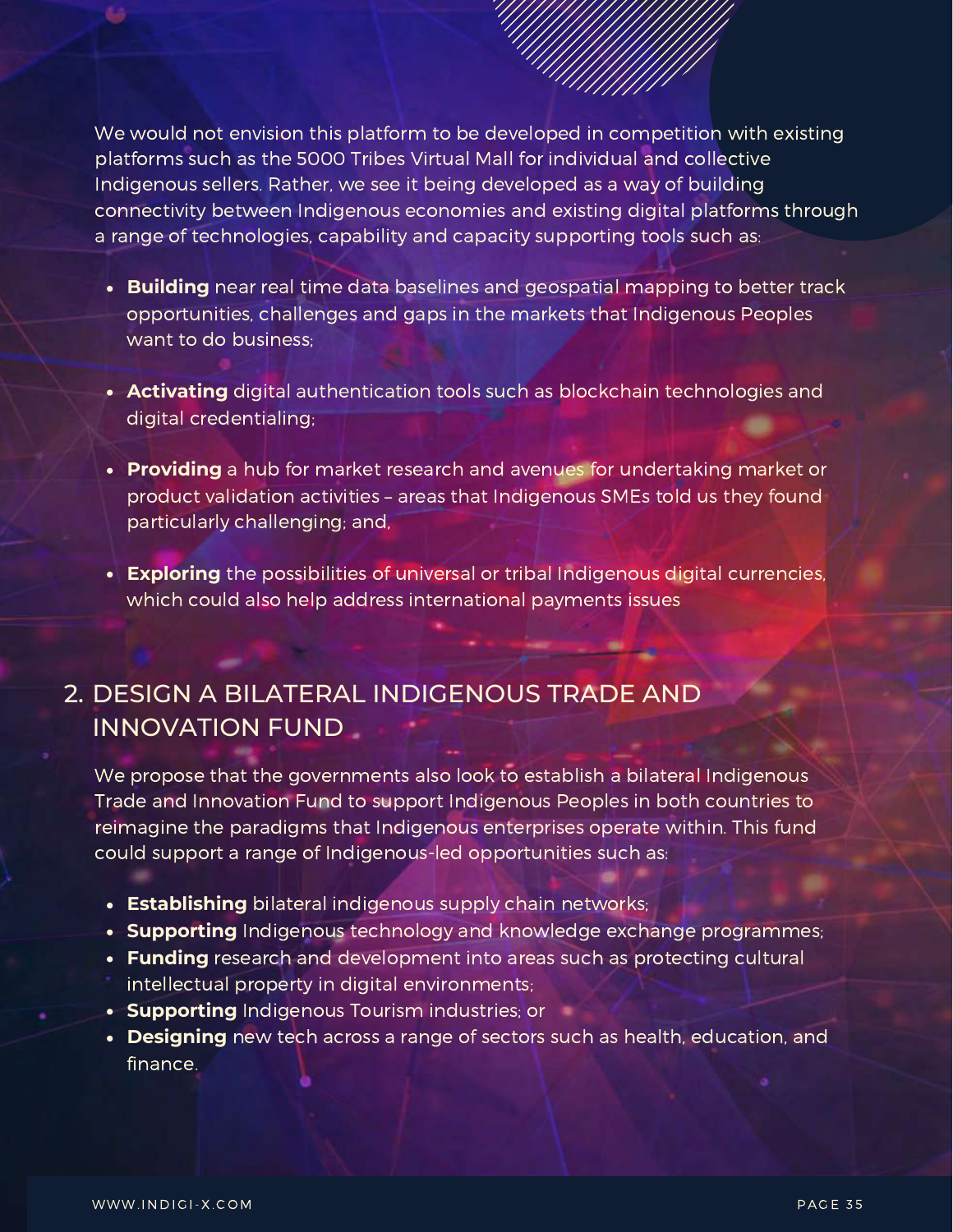We would not envision this platform to be developed in competition with existing platforms such as the 5000 Tribes Virtual Mall for individual and collective Indigenous sellers. Rather, we see it being developed as a way of building connectivity between Indigenous economies and existing digital platforms through a range of technologies, capability and capacity supporting tools such as:

- **Building** near real time data baselines and geospatial mapping to better track opportunities, challenges and gaps in the markets that Indigenous Peoples want to do business;
- **Activating** digital authentication tools such as blockchain technologies and digital credentialing;
- **Providing** a hub for market research and avenues for undertaking market or product validation activities – areas that Indigenous SMEs told us they found particularly challenging; and,
- **Exploring** the possibilities of universal or tribal Indigenous digital currencies, which could also help address international payments issues

#### DESIGN A BILATERAL INDIGENOUS TRADE AND 2.INNOVATION FUND

We propose that the governments also look to establish a bilateral Indigenous Trade and Innovation Fund to support Indigenous Peoples in both countries to reimagine the paradigms that Indigenous enterprises operate within. This fund could support a range of Indigenous-led opportunities such as:

- **Establishing** bilateral indigenous supply chain networks;
- **Supporting** Indigenous technology and knowledge exchange programmes;
- **Funding** research and development into areas such as protecting cultural intellectual property in digital environments;
- **Supporting** Indigenous Tourism industries; or
- **Designing** new tech across a range of sectors such as health, education, and finance.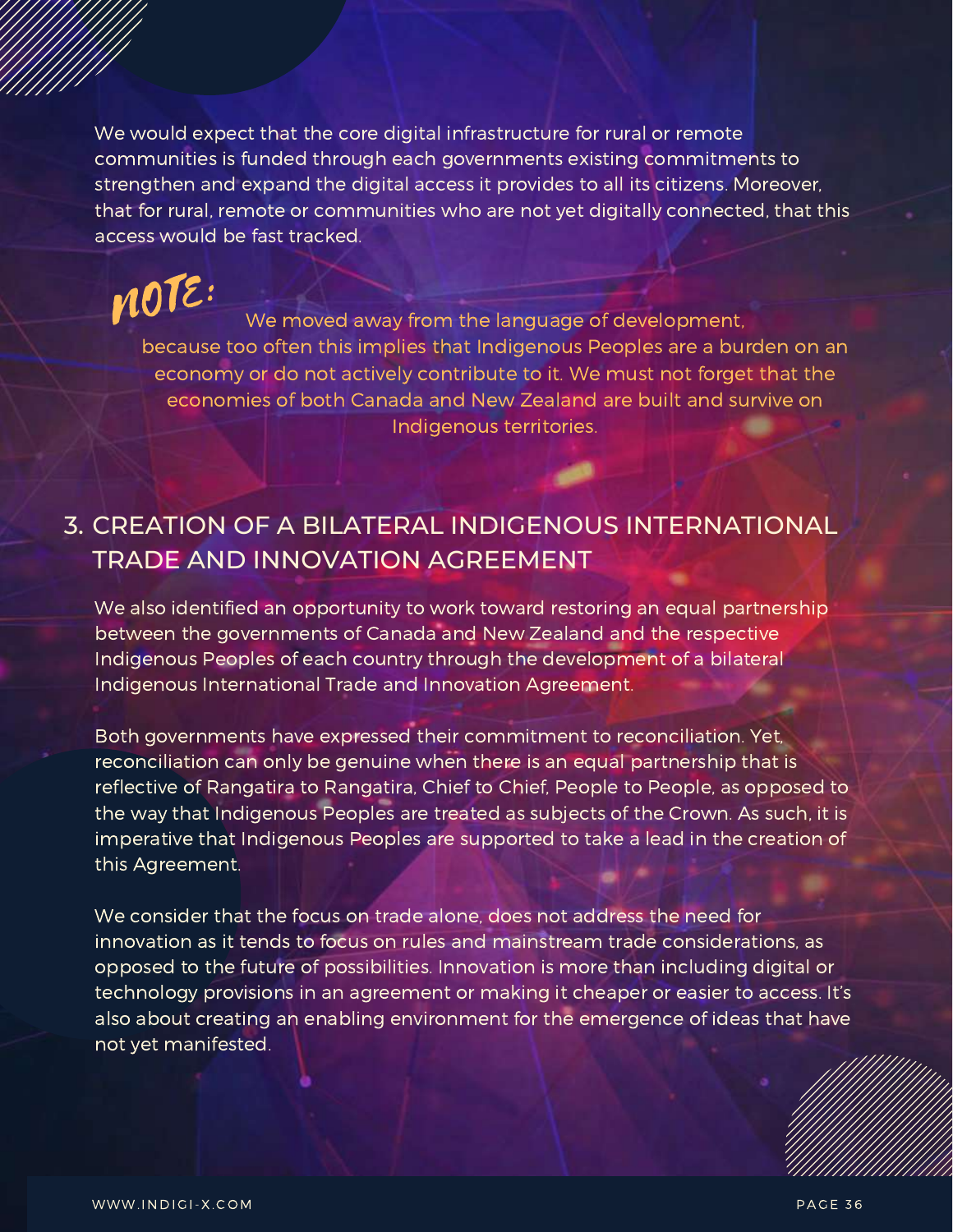We would expect that the core digital infrastructure for rural or remote communities is funded through each governments existing commitments to strengthen and expand the digital access it provides to all its citizens. Moreover, that for rural, remote or communities who are not yet digitally connected, that this access would be fast tracked.

We moved away from the language of development, because too often this implies that Indigenous Peoples are a burden on an economy or do not actively contribute to it. We must not forget that the economies of both Canada and New Zealand are built and survive on Indigenous territories. NOTE:

### 3. CREATION OF A BILATERAL INDIGENOUS INTERNATIONAL TRADE AND INNOVATION AGREEMENT

We also identified an opportunity to work toward restoring an equal partnership between the governments of Canada and New Zealand and the respective Indigenous Peoples of each country through the development of a bilateral Indigenous International Trade and Innovation Agreement.

Both governments have expressed their commitment to reconciliation. Yet, reconciliation can only be genuine when there is an equal partnership that is reflective of Rangatira to Rangatira, Chief to Chief, People to People, as opposed to the way that Indigenous Peoples are treated as subjects of the Crown. As such, it is imperative that Indigenous Peoples are supported to take a lead in the creation of this Agreement.

We consider that the focus on trade alone, does not address the need for innovation as it tends to focus on rules and mainstream trade considerations, as opposed to the future of possibilities. Innovation is more than including digital or technology provisions in an agreement or making it cheaper or easier to access. It's also about creating an enabling environment for the emergence of ideas that have not yet manifested.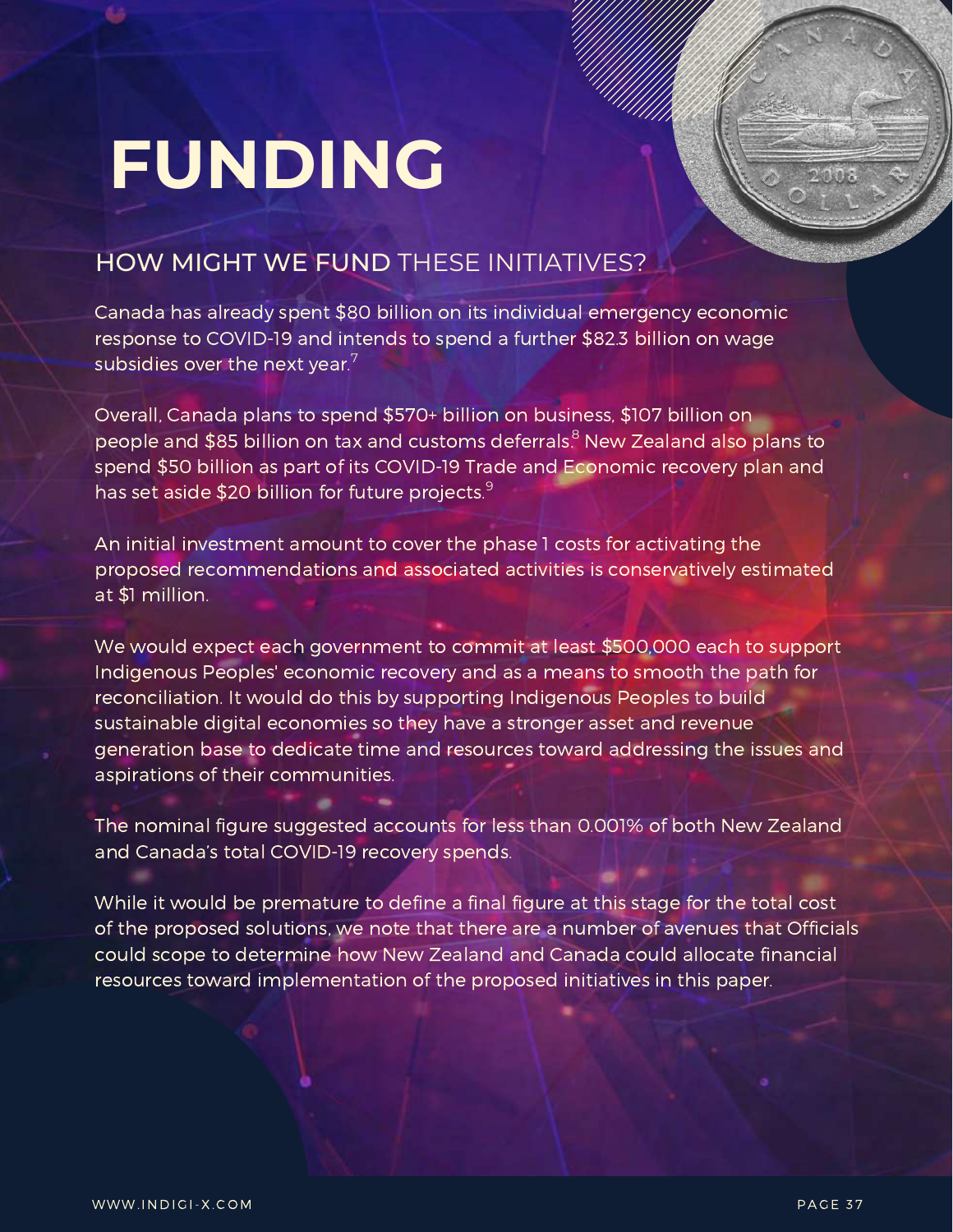### **FUNDING**

### HOW MIGHT WE FUND THESE INITIATIVES?

Canada has already spent \$80 billion on its individual emergency economic response to COVID-19 and intends to spend a further \$82.3 billion on wage subsidies over the next year. $^7$ 

Overall, Canada plans to spend \$570+ billion on business, \$107 billion on people and \$85 billion on tax and customs deferrals.<sup>8</sup> New Zealand also plans to spend \$50 billion as part of its COVID-19 Trade and Economic recovery plan and has set aside \$20 billion for future projects.<sup>9</sup>

An initial investment amount to cover the phase 1 costs for activating the proposed recommendations and associated activities is conservatively estimated at \$1 million.

We would expect each government to commit at least \$500,000 each to support Indigenous Peoples' economic recovery and as a means to smooth the path for reconciliation. It would do this by supporting Indigenous Peoples to build sustainable digital economies so they have a stronger asset and revenue generation base to dedicate time and resources toward addressing the issues and aspirations of their communities.

The nominal figure suggested accounts for less than 0.001% of both New Zealand and Canada's total COVID-19 recovery spends.

While it would be premature to define a final figure at this stage for the total cost of the proposed solutions, we note that there are a number of avenues that Officials could scope to determine how New Zealand and Canada could allocate financial resources toward implementation of the proposed initiatives in this paper.

**TO LOT**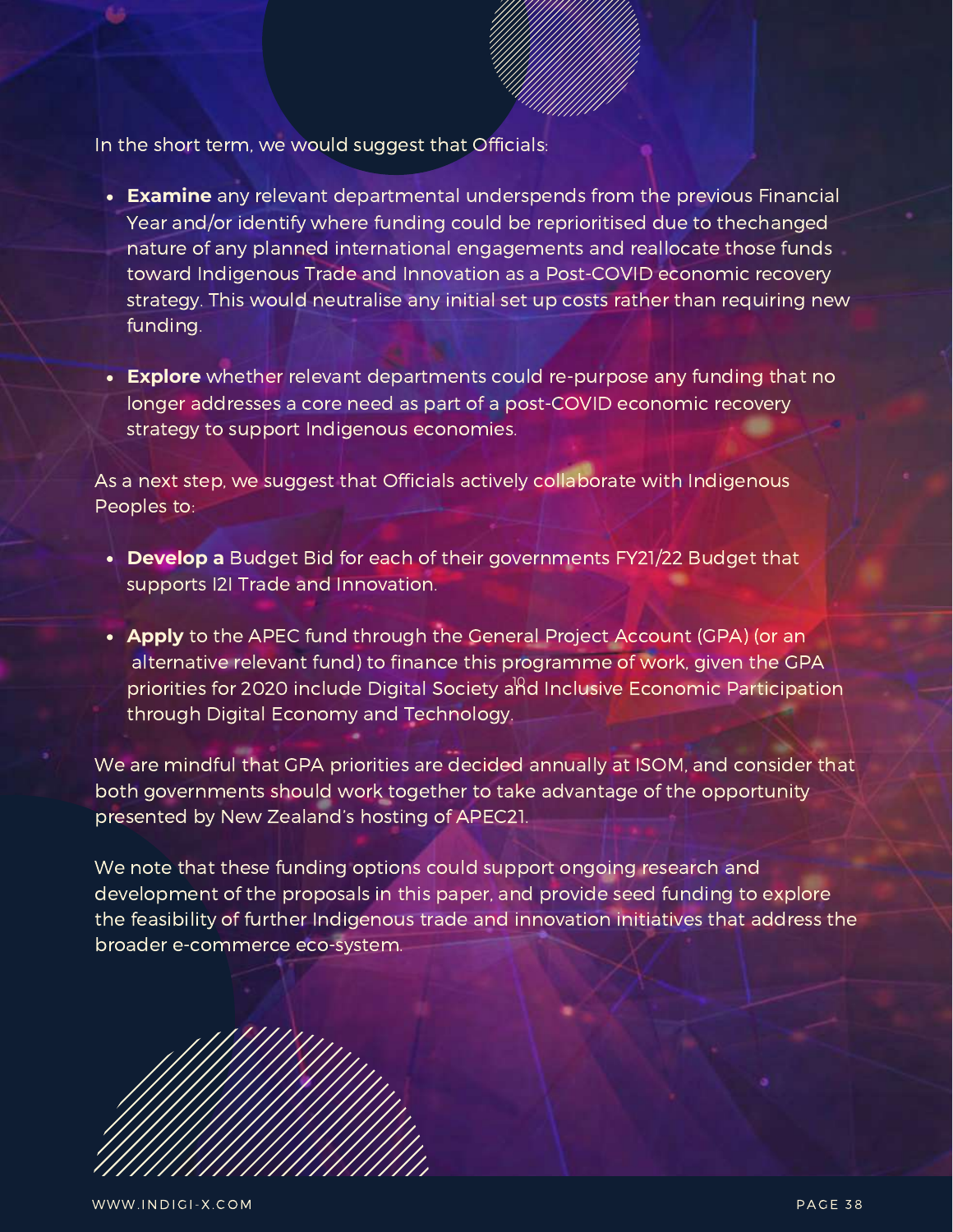In the short term, we would suggest that Officials:

- **Examine** any relevant departmental underspends from the previous Financial Year and/or identify where funding could be reprioritised due to thechanged nature of any planned international engagements and reallocate those funds toward Indigenous Trade and Innovation as a Post-COVID economic recovery strategy. This would neutralise any initial set up costs rather than requiring new funding.
- **Explore** whether relevant departments could re-purpose any funding that no longer addresses a core need as part of a post-COVID economic recovery strategy to support Indigenous economies.

As a next step, we suggest that Officials actively collaborate with Indigenous Peoples to:

- **Develop a** Budget Bid for each of their governments FY21/22 Budget that supports I2I Trade and Innovation.
- **Apply** to the APEC fund through the General Project Account (GPA) (or an alternative relevant fund) to finance this programme of work, given the GPA priorities for 2020 include Digital Society and Inclusive Economic Participation through Digital Economy and Technology.

We are mindful that GPA priorities are decided annually at ISOM, and consider that both governments should work together to take advantage of the opportunity presented by New Zealand's hosting of APEC21.

We note that these funding options could support ongoing research and development of the proposals in this paper, and provide seed funding to explore the feasibility of further Indigenous trade and innovation initiatives that address the broader e-commerce eco-system.

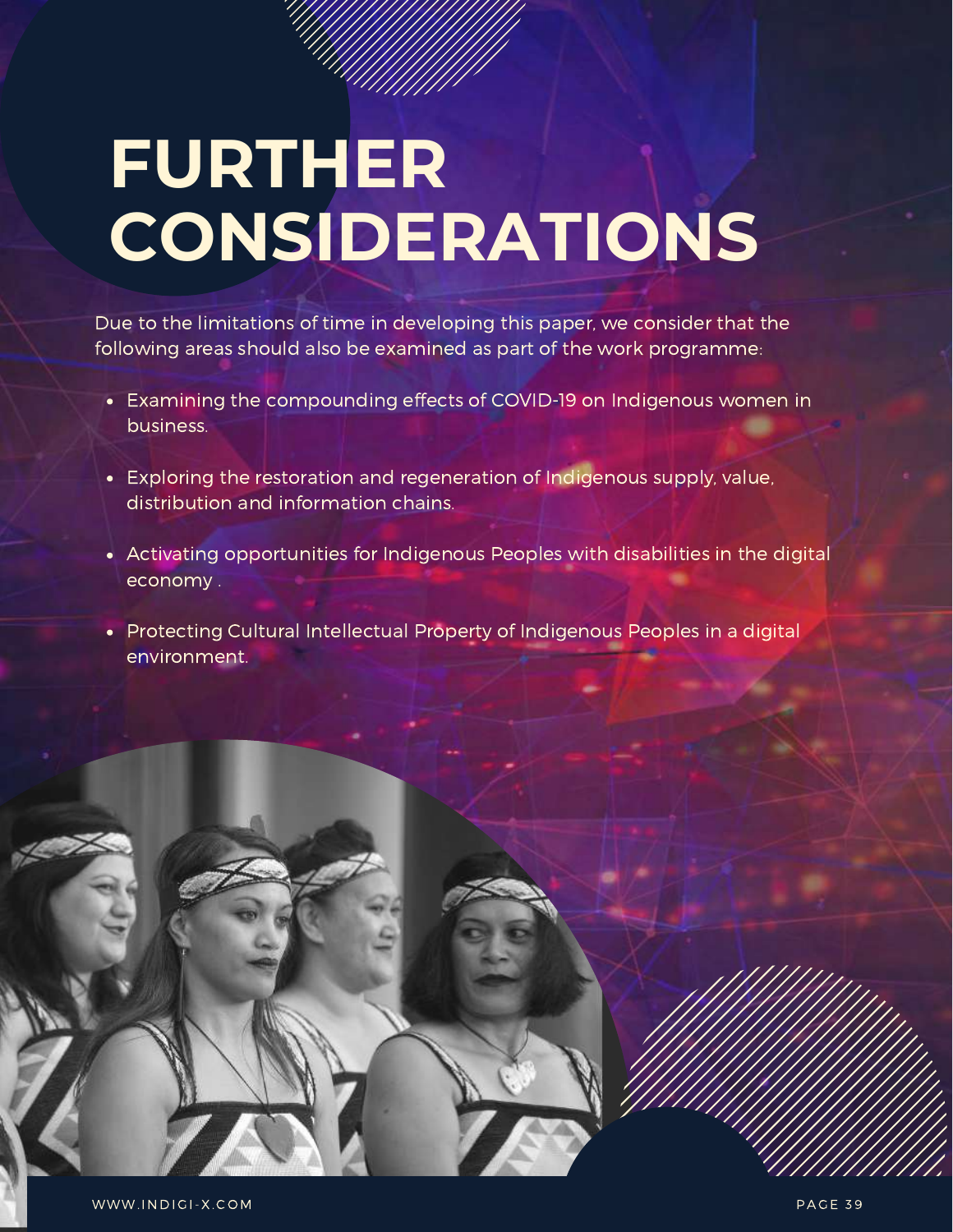### **FURTHER CONSIDERATIONS**

Due to the limitations of time in developing this paper, we consider that the following areas should also be examined as part of the work programme:

- Examining the compounding effects of COVID-19 on Indigenous women in business.
- Exploring the restoration and regeneration of Indigenous supply, value, distribution and information chains.
- Activating opportunities for Indigenous Peoples with disabilities in the digital economy .
- Protecting Cultural Intellectual Property of Indigenous Peoples in a digital environment.



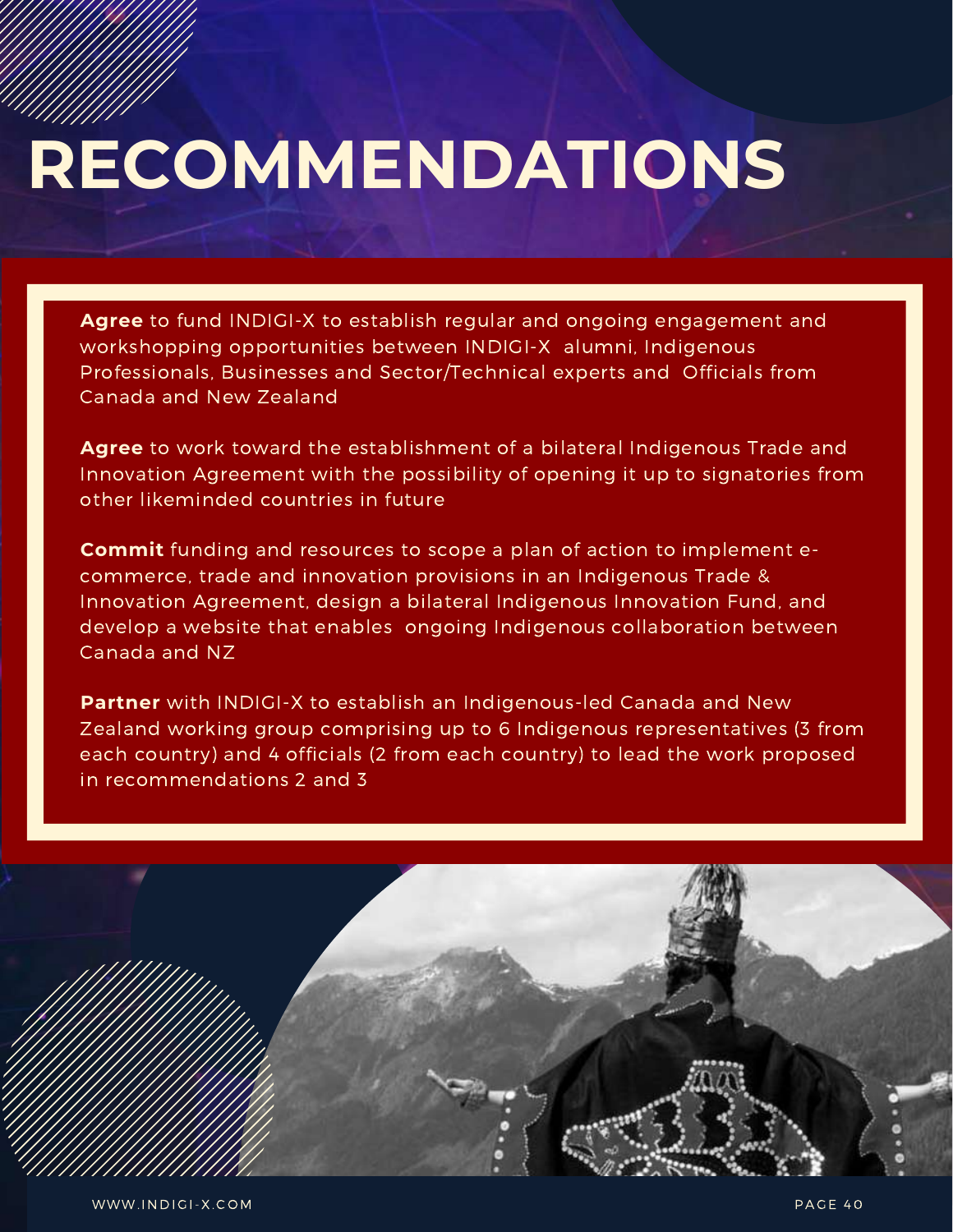# **RECOMMENDATIONS**

**Agree** to fund INDIGI-X to establish regular and ongoing engagement and workshopping opportunities between INDIGI-X alumni, Indigenous Professionals, Businesses and Sector/Technical experts and Officials from Canada and New Zealand

**Agree** to work toward the establishment of a bilateral Indigenous Trade and Innovation Agreement with the possibility of opening it up to signatories from other likeminded countries in future

**Commit** funding and resources to scope a plan of action to implement ecommerce, trade and innovation provisions in an Indigenous Trade & Innovation Agreement, design a bilateral Indigenous Innovation Fund, and develop a website that enables ongoing Indigenous collaboration between Canada and NZ

**Partner** with INDIGI-X to establish an Indigenous-led Canada and New Zealand working group comprising up to 6 Indigenous representatives (3 from each country) and 4 officials (2 from each country) to lead the work proposed in recommendations 2 and 3